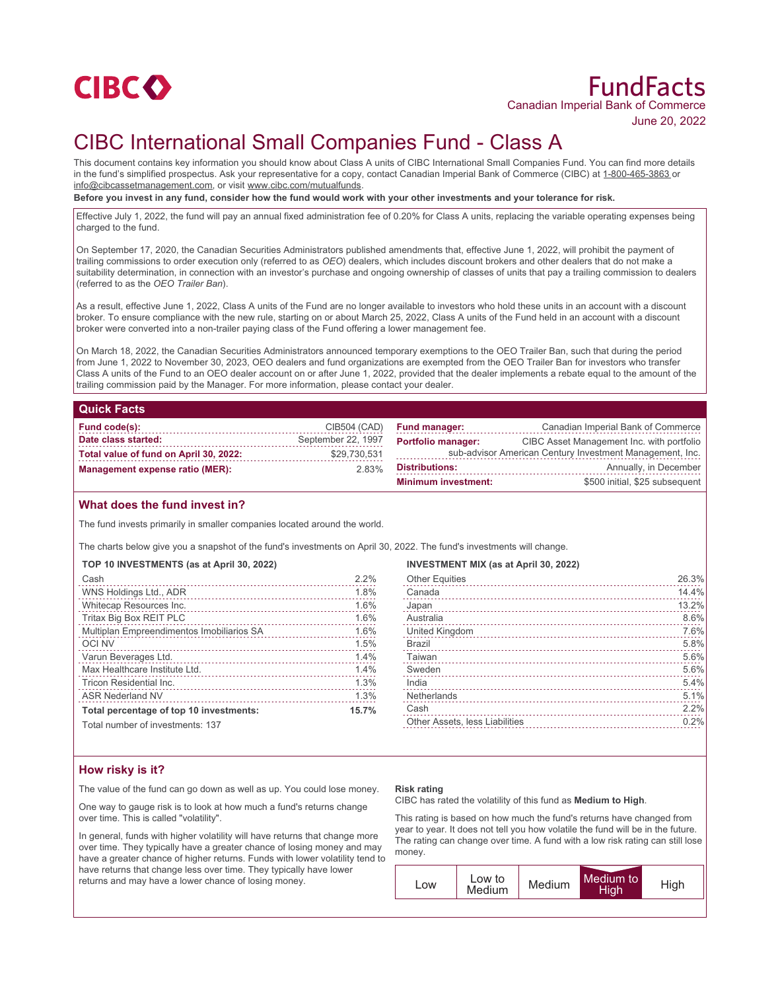

# CIBC International Small Companies Fund - Class A

This document contains key information you should know about Class A units of CIBC International Small Companies Fund. You can find more details in the fund's simplified prospectus. Ask your representative for a copy, contact Canadian Imperial Bank of Commerce (CIBC) at 1-800-465-3863 or info@cibcassetmanagement.com, or visit www.cibc.com/mutualfunds.

**Before you invest in any fund, consider how the fund would work with your other investments and your tolerance for risk.**

Effective July 1, 2022, the fund will pay an annual fixed administration fee of 0.20% for Class A units, replacing the variable operating expenses being charged to the fund.

On September 17, 2020, the Canadian Securities Administrators published amendments that, effective June 1, 2022, will prohibit the payment of trailing commissions to order execution only (referred to as *OEO*) dealers, which includes discount brokers and other dealers that do not make a suitability determination, in connection with an investor's purchase and ongoing ownership of classes of units that pay a trailing commission to dealers (referred to as the *OEO Trailer Ban*).

As a result, effective June 1, 2022, Class A units of the Fund are no longer available to investors who hold these units in an account with a discount broker. To ensure compliance with the new rule, starting on or about March 25, 2022, Class A units of the Fund held in an account with a discount broker were converted into a non-trailer paying class of the Fund offering a lower management fee.

On March 18, 2022, the Canadian Securities Administrators announced temporary exemptions to the OEO Trailer Ban, such that during the period from June 1, 2022 to November 30, 2023, OEO dealers and fund organizations are exempted from the OEO Trailer Ban for investors who transfer Class A units of the Fund to an OEO dealer account on or after June 1, 2022, provided that the dealer implements a rebate equal to the amount of the trailing commission paid by the Manager. For more information, please contact your dealer.

### **Quick Facts**

| Fund code(s):                          | CIB504 (CAD)       | Fu  |
|----------------------------------------|--------------------|-----|
| Date class started:                    | September 22, 1997 | Po  |
| Total value of fund on April 30, 2022: | \$29.730.531       |     |
| <b>Management expense ratio (MER):</b> | 2.83%              | Di: |

| <b>Fund manager:</b>                                                                                                               | Canadian Imperial Bank of Commerce |  |
|------------------------------------------------------------------------------------------------------------------------------------|------------------------------------|--|
| <b>Portfolio manager:</b><br>CIBC Asset Management Inc. with portfolio<br>sub-advisor American Century Investment Management, Inc. |                                    |  |
| <b>Distributions:</b><br>Annually, in December                                                                                     |                                    |  |
| <b>Minimum investment:</b>                                                                                                         | \$500 initial, \$25 subsequent     |  |

### **What does the fund invest in?**

The fund invests primarily in smaller companies located around the world.

The charts below give you a snapshot of the fund's investments on April 30, 2022. The fund's investments will change.

|  |  |  | TOP 10 INVESTMENTS (as at April 30, 2022) |  |  |  |  |
|--|--|--|-------------------------------------------|--|--|--|--|
|--|--|--|-------------------------------------------|--|--|--|--|

| Cash                                      | 2.2% |
|-------------------------------------------|------|
| WNS Holdings Ltd., ADR                    | 1.8% |
| Whitecap Resources Inc.                   | 1.6% |
| Tritax Big Box REIT PLC                   | 1.6% |
| Multiplan Empreendimentos Imobiliarios SA | 1.6% |
| <b>OCI NV</b>                             | 1.5% |
| Varun Beverages Ltd.                      | 1.4% |
| Max Healthcare Institute Ltd.             | 1.4% |
| Tricon Residential Inc.                   | 1.3% |
| <b>ASR Nederland NV</b>                   | 1.3% |
| Total percentage of top 10 investments:   |      |
| Total number of investments: 137          |      |

Total number of investments: 137

#### **INVESTMENT MIX (as at April 30, 2022)**

| <b>Other Equities</b>          | 26.3% |
|--------------------------------|-------|
| Canada                         | 14.4% |
| Japan                          | 13.2% |
| Australia                      | 8.6%  |
| United Kingdom                 | 7.6%  |
| <b>Brazil</b>                  | 5.8%  |
| Taiwan                         | 5.6%  |
| Sweden                         | 5.6%  |
| India                          | 5.4%  |
| Netherlands                    | 5.1%  |
| Cash                           | 2.2%  |
| Other Assets, less Liabilities | 0.2%  |
|                                |       |

## **How risky is it?**

The value of the fund can go down as well as up. You could lose money.

One way to gauge risk is to look at how much a fund's returns change over time. This is called "volatility".

In general, funds with higher volatility will have returns that change more over time. They typically have a greater chance of losing money and may have a greater chance of higher returns. Funds with lower volatility tend to have returns that change less over time. They typically have lower returns and may have a lower chance of losing money.

#### **Risk rating**

CIBC has rated the volatility of this fund as **Medium to High**.

This rating is based on how much the fund's returns have changed from year to year. It does not tell you how volatile the fund will be in the future. The rating can change over time. A fund with a low risk rating can still lose money.

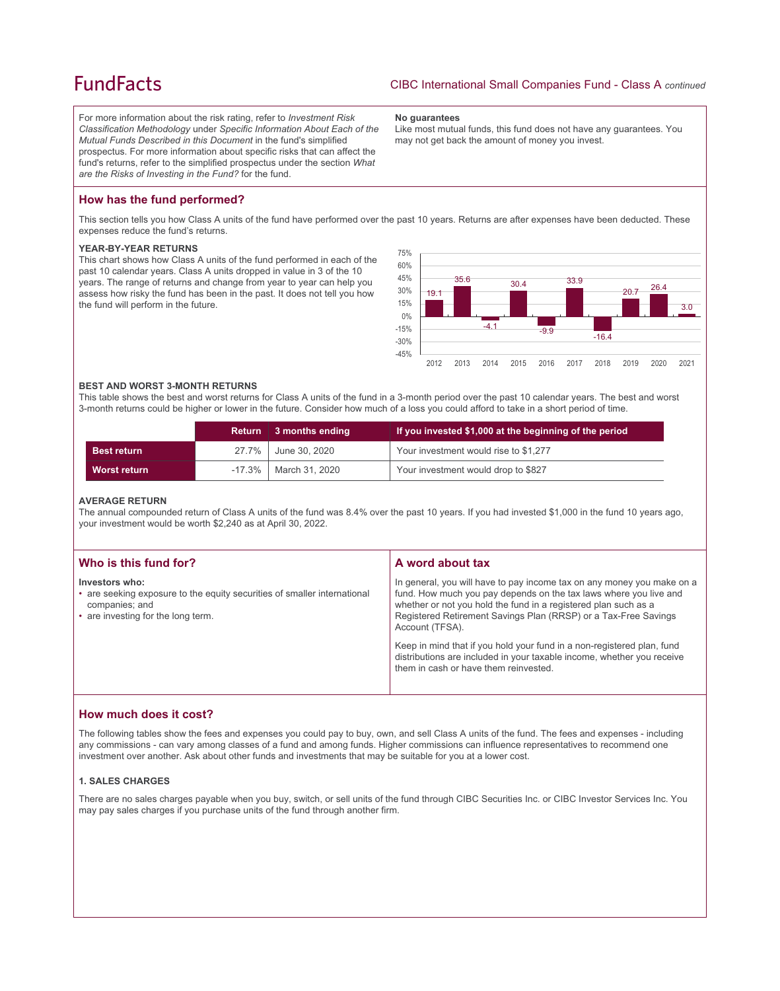# **FundFacts**

For more information about the risk rating, refer to *Investment Risk Classification Methodology* under *Specific Information About Each of the Mutual Funds Described in this Document* in the fund's simplified prospectus. For more information about specific risks that can affect the fund's returns, refer to the simplified prospectus under the section *What are the Risks of Investing in the Fund?* for the fund.

#### **No guarantees**

Like most mutual funds, this fund does not have any guarantees. You may not get back the amount of money you invest.

## **How has the fund performed?**

This section tells you how Class A units of the fund have performed over the past 10 years. Returns are after expenses have been deducted. These expenses reduce the fund's returns.

### **YEAR-BY-YEAR RETURNS**

This chart shows how Class A units of the fund performed in each of the past 10 calendar years. Class A units dropped in value in 3 of the 10 years. The range of returns and change from year to year can help you assess how risky the fund has been in the past. It does not tell you how the fund will perform in the future.



#### **BEST AND WORST 3-MONTH RETURNS**

This table shows the best and worst returns for Class A units of the fund in a 3-month period over the past 10 calendar years. The best and worst 3-month returns could be higher or lower in the future. Consider how much of a loss you could afford to take in a short period of time.

|                     | <b>Return</b> | ∣ 3 months ending          | If you invested \$1,000 at the beginning of the period |
|---------------------|---------------|----------------------------|--------------------------------------------------------|
| <b>Best return</b>  |               | 27.7% June 30, 2020        | Your investment would rise to \$1,277                  |
| <b>Worst return</b> |               | $-17.3\%$   March 31, 2020 | Your investment would drop to \$827                    |

#### **AVERAGE RETURN**

The annual compounded return of Class A units of the fund was 8.4% over the past 10 years. If you had invested \$1,000 in the fund 10 years ago, your investment would be worth \$2,240 as at April 30, 2022.

| Who is this fund for?                                                                                                                              | A word about tax                                                                                                                                                                                                                                                                                     |
|----------------------------------------------------------------------------------------------------------------------------------------------------|------------------------------------------------------------------------------------------------------------------------------------------------------------------------------------------------------------------------------------------------------------------------------------------------------|
| Investors who:<br>• are seeking exposure to the equity securities of smaller international<br>companies; and<br>• are investing for the long term. | In general, you will have to pay income tax on any money you make on a<br>fund. How much you pay depends on the tax laws where you live and<br>whether or not you hold the fund in a registered plan such as a<br>Registered Retirement Savings Plan (RRSP) or a Tax-Free Savings<br>Account (TFSA). |
|                                                                                                                                                    | Keep in mind that if you hold your fund in a non-registered plan, fund<br>distributions are included in your taxable income, whether you receive<br>them in cash or have them reinvested.                                                                                                            |

## **How much does it cost?**

The following tables show the fees and expenses you could pay to buy, own, and sell Class A units of the fund. The fees and expenses - including any commissions - can vary among classes of a fund and among funds. Higher commissions can influence representatives to recommend one investment over another. Ask about other funds and investments that may be suitable for you at a lower cost.

### **1. SALES CHARGES**

There are no sales charges payable when you buy, switch, or sell units of the fund through CIBC Securities Inc. or CIBC Investor Services Inc. You may pay sales charges if you purchase units of the fund through another firm.